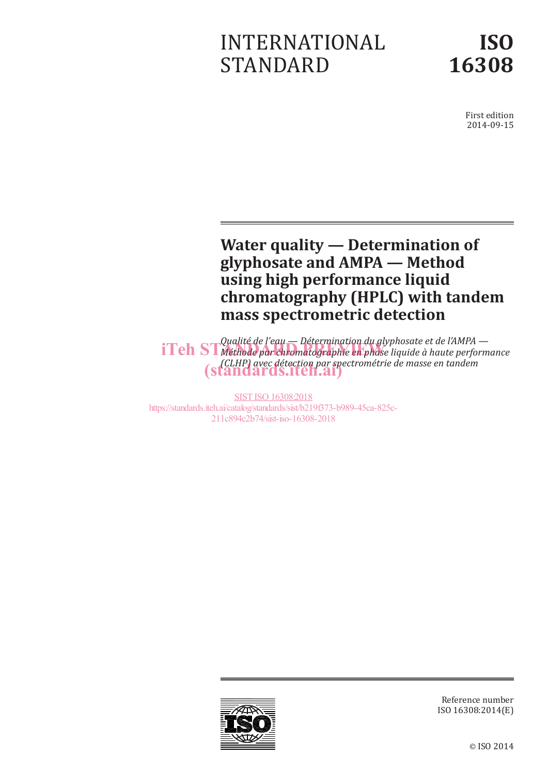# INTERNATIONAL STANDARD



First edition 2014-09-15

# **Water quality — Determination of glyphosate and AMPA — Method using high performance liquid chromatography (HPLC) with tandem mass spectrometric detection**

*Qualité de l'eau — Détermination du glyphosate et de l'AMPA*  **iTeh ST** *Méthode par chromatographie en phase liquide à haute performance (CLHP) avec détection par spectrométrie de masse en tandem* (standards.iteh.ai)

SIST ISO 16308:2018 https://standards.iteh.ai/catalog/standards/sist/b219f373-b989-45ca-825c-211c894c2b74/sist-iso-16308-2018



Reference number ISO 16308:2014(E)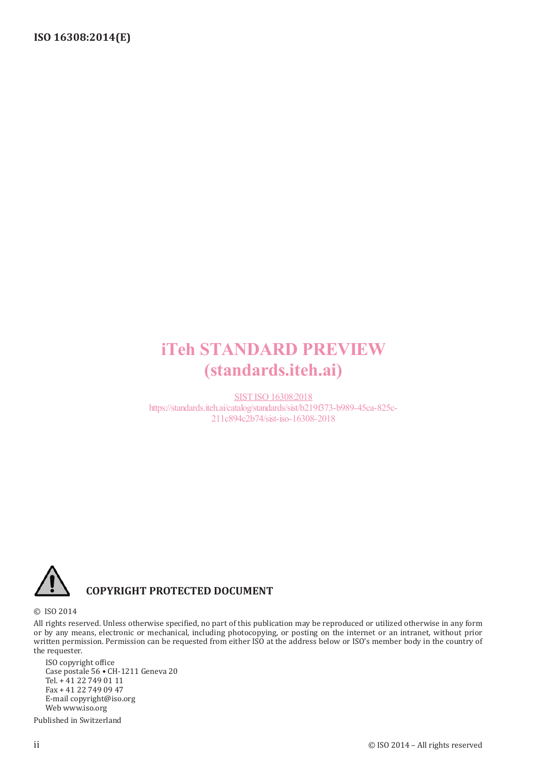# iTeh STANDARD PREVIEW (standards.iteh.ai)

SIST ISO 16308:2018 https://standards.iteh.ai/catalog/standards/sist/b219f373-b989-45ca-825c-211c894c2b74/sist-iso-16308-2018



#### **COPYRIGHT PROTECTED DOCUMENT**

© ISO 2014

All rights reserved. Unless otherwise specified, no part of this publication may be reproduced or utilized otherwise in any form or by any means, electronic or mechanical, including photocopying, or posting on the internet or an intranet, without prior written permission. Permission can be requested from either ISO at the address below or ISO's member body in the country of the requester.

ISO copyright office Case postale 56 • CH-1211 Geneva 20 Tel. + 41 22 749 01 11 Fax + 41 22 749 09 47 E-mail copyright@iso.org Web www.iso.org

Published in Switzerland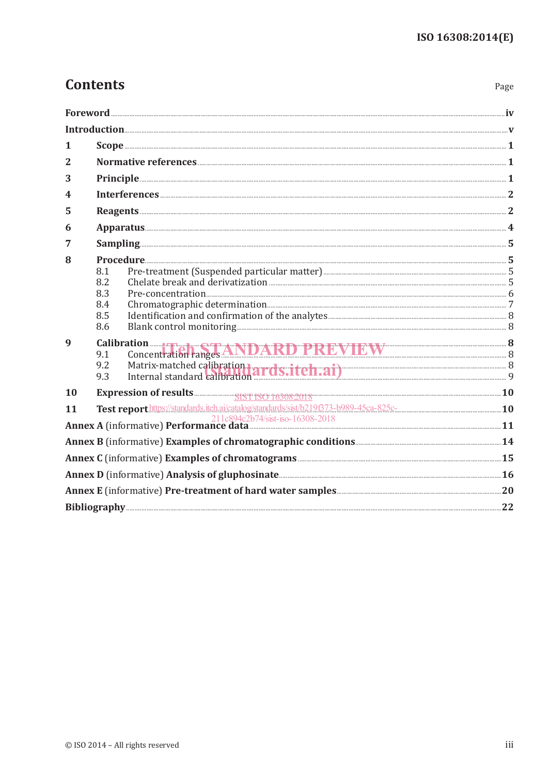Page

# **Contents**

| 1                                                                                                                                                                                                                                   |  |
|-------------------------------------------------------------------------------------------------------------------------------------------------------------------------------------------------------------------------------------|--|
| 2                                                                                                                                                                                                                                   |  |
| Principle <b>Executive Construction Construction</b> 2<br>3                                                                                                                                                                         |  |
| 4                                                                                                                                                                                                                                   |  |
| Reagents <b>Example 2</b><br>5                                                                                                                                                                                                      |  |
| 6                                                                                                                                                                                                                                   |  |
| Sampling 5<br>7                                                                                                                                                                                                                     |  |
| 8<br>8.1<br>8.2<br>8.3<br>8.4<br>8.5<br>8.6                                                                                                                                                                                         |  |
| $\boldsymbol{q}$<br>Calibration Concentration ranges ANDARD PREVIEW 8<br>9.2<br>Matrix-matched calibration ards.itch.ai) 31 Matrix-matched calibration ards.itch.ai<br>9.3                                                          |  |
| Expression of results <b>Expression of results All According to the SIST ISO</b> 16308:2018 <b>CONSIDERATE ISO 16308</b><br><b>10</b>                                                                                               |  |
| Test report https://standards.iteh.ai/catalog/standards/sist/b219f373-b989-45ca-825c-<br>11                                                                                                                                         |  |
|                                                                                                                                                                                                                                     |  |
| Annex B (informative) Examples of chromatographic conditions <b>Annex B</b> (informative) 14                                                                                                                                        |  |
| Annex C (informative) Examples of chromatograms <b>Examples</b> of chromatograms and the set of the set of the set of the set of the set of the set of the set of the set of the set of the set of the set of the set of the set of |  |
| Annex D (informative) Analysis of gluphosinate <b>Entity and Strate 2016</b> 16                                                                                                                                                     |  |
|                                                                                                                                                                                                                                     |  |
| Bibliography 22                                                                                                                                                                                                                     |  |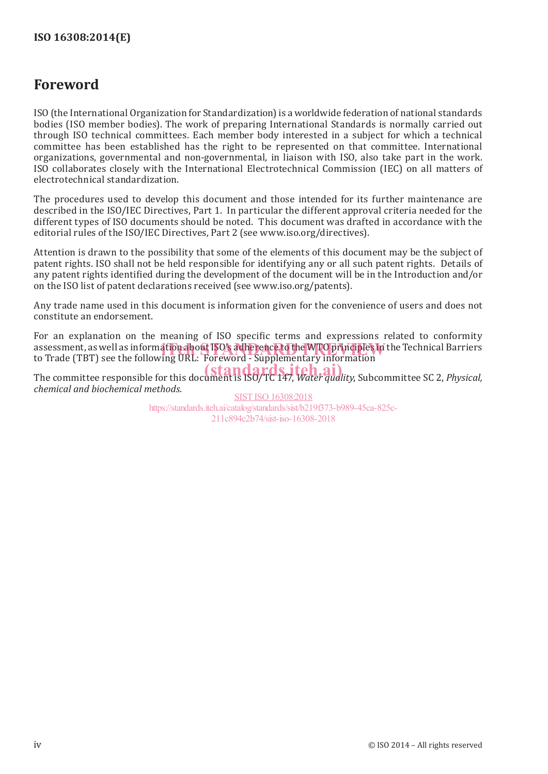## **Foreword**

ISO (the International Organization for Standardization) is a worldwide federation of national standards bodies (ISO member bodies). The work of preparing International Standards is normally carried out through ISO technical committees. Each member body interested in a subject for which a technical committee has been established has the right to be represented on that committee. International organizations, governmental and non-governmental, in liaison with ISO, also take part in the work. ISO collaborates closely with the International Electrotechnical Commission (IEC) on all matters of electrotechnical standardization.

The procedures used to develop this document and those intended for its further maintenance are described in the ISO/IEC Directives, Part 1. In particular the different approval criteria needed for the different types of ISO documents should be noted. This document was drafted in accordance with the editorial rules of the ISO/IEC Directives, Part 2 (see www.iso.org/directives).

Attention is drawn to the possibility that some of the elements of this document may be the subject of patent rights. ISO shall not be held responsible for identifying any or all such patent rights. Details of any patent rights identified during the development of the document will be in the Introduction and/or on the ISO list of patent declarations received (see www.iso.org/patents).

Any trade name used in this document is information given for the convenience of users and does not constitute an endorsement.

For an explanation on the meaning of ISO specific terms and expressions related to conformity assessment, as well as information about ISO's adherence to the WTO principles in the Technical Barriers<br>to Trade (TBT) see the following URL: Foreword - Supplementary information to Trade (TBT) see the following URL: Foreword - Supplementary information

The committee responsible for this document is ISO/TC 147, *Water quality*, Subcommittee SC 2, *Physical*, *chemical and biochemical methods*.

SIST ISO 16308:2018 https://standards.iteh.ai/catalog/standards/sist/b219f373-b989-45ca-825c-211c894c2b74/sist-iso-16308-2018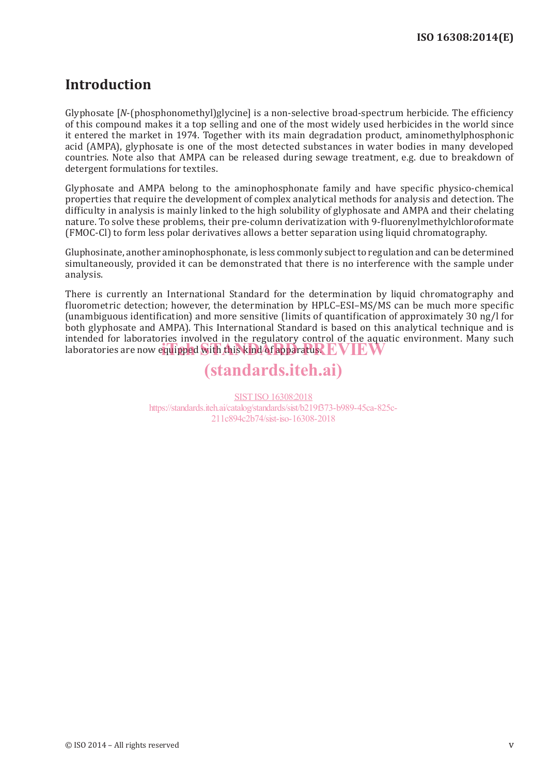## **Introduction**

Glyphosate [*N*-(phosphonomethyl)glycine] is a non-selective broad-spectrum herbicide. The efficiency of this compound makes it a top selling and one of the most widely used herbicides in the world since it entered the market in 1974. Together with its main degradation product, aminomethylphosphonic acid (AMPA), glyphosate is one of the most detected substances in water bodies in many developed countries. Note also that AMPA can be released during sewage treatment, e.g. due to breakdown of detergent formulations for textiles.

Glyphosate and AMPA belong to the aminophosphonate family and have specific physico-chemical properties that require the development of complex analytical methods for analysis and detection. The difficulty in analysis is mainly linked to the high solubility of glyphosate and AMPA and their chelating nature. To solve these problems, their pre-column derivatization with 9-fluorenylmethylchloroformate (FMOC-Cl) to form less polar derivatives allows a better separation using liquid chromatography.

Gluphosinate, another aminophosphonate, is less commonly subject to regulation and can be determined simultaneously, provided it can be demonstrated that there is no interference with the sample under analysis.

There is currently an International Standard for the determination by liquid chromatography and fluorometric detection; however, the determination by HPLC–ESI–MS/MS can be much more specific (unambiguous identification) and more sensitive (limits of quantification of approximately 30 ng/l for both glyphosate and AMPA). This International Standard is based on this analytical technique and is intended for laboratories involved in the regulatory control of the aquatic environment. Many such intended for haboratories involved in the regulatory control of the aquation<br>laboratories are now equipped with this kind of apparatus. EVIEW

# (standards.iteh.ai)

SIST ISO 16308:2018 https://standards.iteh.ai/catalog/standards/sist/b219f373-b989-45ca-825c-211c894c2b74/sist-iso-16308-2018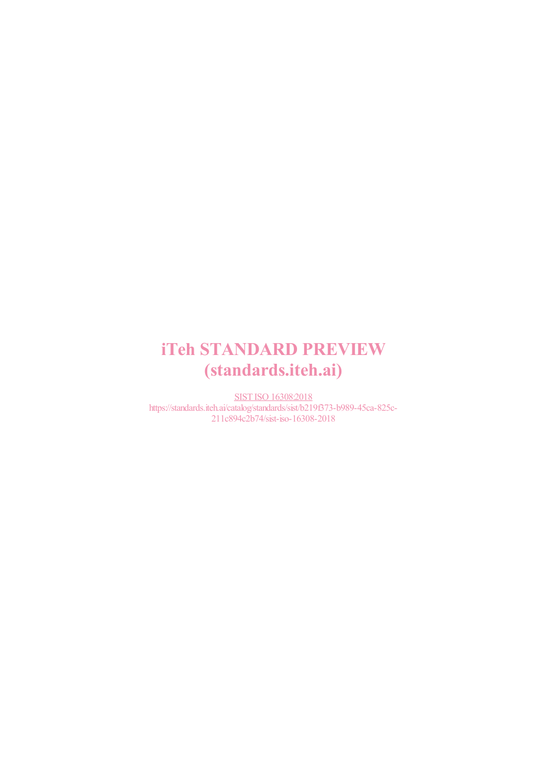# iTeh STANDARD PREVIEW (standards.iteh.ai)

SIST ISO 16308:2018 https://standards.iteh.ai/catalog/standards/sist/b219f373-b989-45ca-825c-211c894c2b74/sist-iso-16308-2018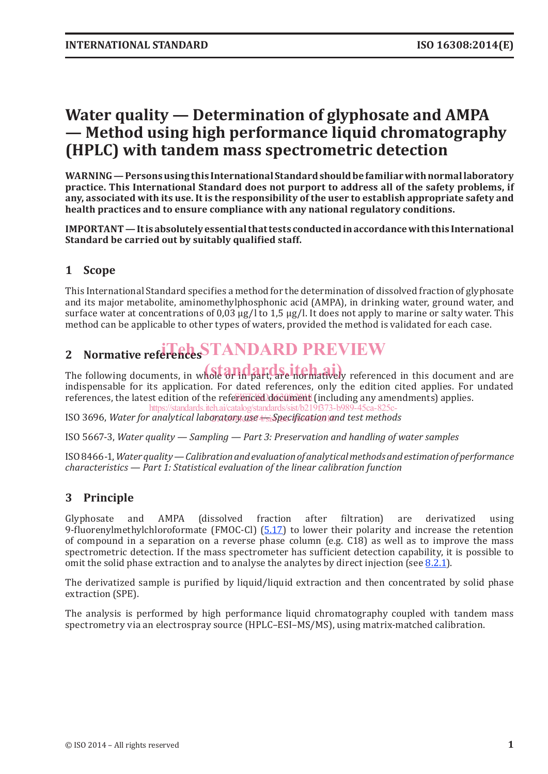## **Water quality — Determination of glyphosate and AMPA — Method using high performance liquid chromatography (HPLC) with tandem mass spectrometric detection**

**WARNING — Persons using this International Standard should be familiar with normal laboratory practice. This International Standard does not purport to address all of the safety problems, if any, associated with its use. It is the responsibility of the user to establish appropriate safety and health practices and to ensure compliance with any national regulatory conditions.** 

**IMPORTANT — It is absolutely essential that tests conducted in accordance with this International Standard be carried out by suitably qualified staff.**

#### **1 Scope**

This International Standard specifies a method for the determination of dissolved fraction of glyphosate and its major metabolite, aminomethylphosphonic acid (AMPA), in drinking water, ground water, and surface water at concentrations of 0,03  $\mu$ g/l to 1,5  $\mu$ g/l. It does not apply to marine or salty water. This method can be applicable to other types of waters, provided the method is validated for each case.

# 2 Normative references **STANDARD PREVIEW**

The following documents, in whole or in part, are normatively referenced in this document and are indispensable for its application. For dated references, only the edition cited applies. For undated references, the latest edition of the referenced document (including any amendments) applies. https://standards.iteh.ai/catalog/standards/sist/b219f373-b989-45ca-825

ISO 3696, Water for analytical labo<u>natory ase + Sope</u>cification and test methods

ISO 5667-3, *Water quality — Sampling — Part 3: Preservation and handling of water samples*

ISO8466-1, *Water quality— Calibration and evaluation of analytical methods and estimation of performance characteristics — Part 1: Statistical evaluation of the linear calibration function*

#### **3 Principle**

Glyphosate and AMPA (dissolved fraction after filtration) are derivatized using 9-fluorenylmethylchloroformate (FMOC-CI) (5.17) to lower their polarity and increase the retention of compound in a separation on a reverse phase column (e.g. C18) as well as to improve the mass spectrometric detection. If the mass spectrometer has sufficient detection capability, it is possible to omit the solid phase extraction and to analyse the analytes by direct injection (see  $8.2.1$ ).

The derivatized sample is purified by liquid/liquid extraction and then concentrated by solid phase extraction (SPE).

The analysis is performed by high performance liquid chromatography coupled with tandem mass spectrometry via an electrospray source (HPLC–ESI–MS/MS), using matrix-matched calibration.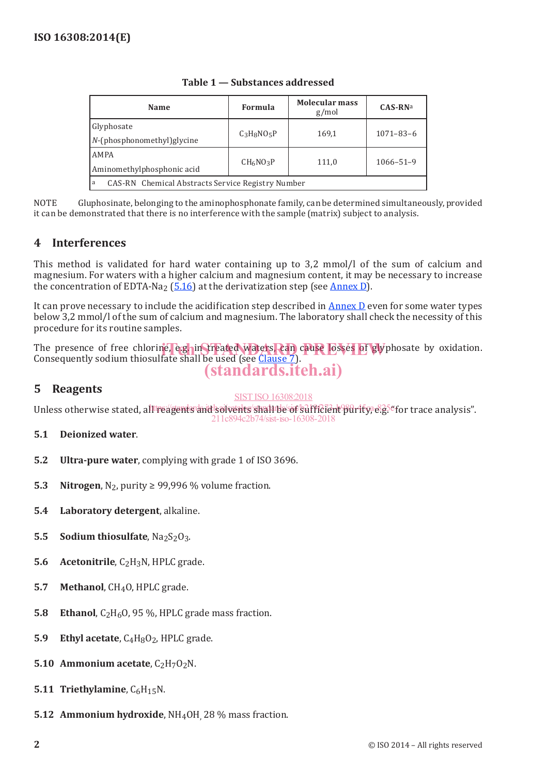| <b>Name</b>                                            | <b>Formula</b>                    | <b>Molecular mass</b><br>g/mol | CAS-RNa         |
|--------------------------------------------------------|-----------------------------------|--------------------------------|-----------------|
| Glyphosate                                             | $C_3H_8NO_5P$                     | 169,1                          | $1071 - 83 - 6$ |
| $[N-(phosphonometry)]$ glycine                         |                                   |                                |                 |
| <b>JAMPA</b>                                           | CH <sub>6</sub> NO <sub>3</sub> P | 111,0                          | $1066 - 51 - 9$ |
| Aminomethylphosphonic acid                             |                                   |                                |                 |
| CAS-RN Chemical Abstracts Service Registry Number<br>a |                                   |                                |                 |

#### **Table 1 — Substances addressed**

NOTE Gluphosinate, belonging to the aminophosphonate family, can be determined simultaneously, provided it can be demonstrated that there is no interference with the sample (matrix) subject to analysis.

#### **4 Interferences**

This method is validated for hard water containing up to 3,2 mmol/l of the sum of calcium and magnesium. For waters with a higher calcium and magnesium content, it may be necessary to increase the concentration of EDTA-Na<sub>2</sub> (5.16) at the derivatization step (see  $\frac{\text{Annex D}}{\text{Denex D}}$ ).

It can prove necessary to include the acidification step described in **Annex D** even for some water types below 3,2 mmol/l of the sum of calcium and magnesium. The laboratory shall check the necessity of this procedure for its routine samples.

The presence of free chlorine, e.g. in treated waters, can cause losses of glyphosate by oxidation.<br>Consequently sodium thiosulfate shall be used (see Clause 7) Consequently sodium thiosulfate shall be used (see Clause 7).

### (standards.iteh.ai)

#### **5 Reagents**

#### SIST ISO 16308:2018

Unless otherwise stated, all reagents and solvents shall be of sufficient purity, e.g. "for trace analysis". 211c894c2b74/sist-iso-16308-2018

- **5.1 Deionized water**.
- **5.2 Ultra-pure water**, complying with grade 1 of ISO 3696.
- **5.3 Nitrogen**,  $N_2$ , purity ≥ 99,996 % volume fraction.
- **5.4 Laboratory detergent**, alkaline.
- **5.5 Sodium thiosulfate**, Na<sub>2</sub>S<sub>2</sub>O<sub>3</sub>.
- **5.6 Acetonitrile**, C<sub>2</sub>H<sub>3</sub>N, HPLC grade.
- 5.7 **Methanol**, CH<sub>4</sub>O, HPLC grade.
- **5.8 Ethanol**, C<sub>2</sub>H<sub>6</sub>O, 95 %, HPLC grade mass fraction.
- **5.9 Ethyl acetate**, C<sub>4</sub>H<sub>8</sub>O<sub>2</sub>, HPLC grade.
- **5.10 Ammonium acetate, C<sub>2</sub>H<sub>7</sub>O<sub>2</sub>N.**
- **5.11 Triethylamine**, C<sub>6</sub>H<sub>15</sub>N.
- **5.12 Ammonium hydroxide**, NH<sub>4</sub>OH<sub>,</sub> 28 % mass fraction.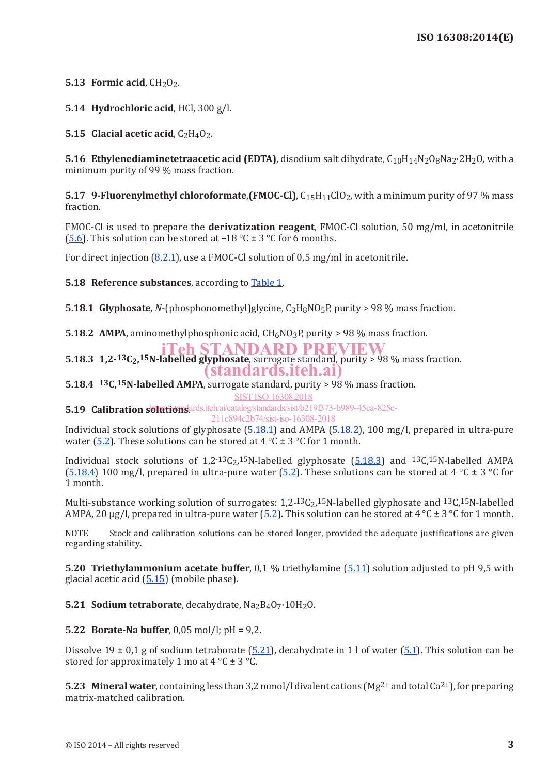**5.13 Formic acid**, CH<sub>2</sub>O<sub>2</sub>.

**5.14 Hydrochloric acid**, HCl, 300 g/l.

**5.15 Glacial acetic acid**,  $C_2H_4O_2$ .

**5.16 Ethylenediaminetetraacetic acid (EDTA)**, disodium salt dihydrate, C<sub>10</sub>H<sub>14</sub>N<sub>2</sub>O<sub>8</sub>Na<sub>2</sub>·2H<sub>2</sub>O, with a minimum purity of 99 % mass fraction.

**5.17 9-Fluorenylmethyl chloroformate,(FMOC-Cl)**, C<sub>15</sub>H<sub>11</sub>ClO<sub>2</sub>, with a minimum purity of 97 % mass fraction.

FMOC-Cl is used to prepare the **derivatization reagent**, FMOC-Cl solution, 50 mg/ml, in acetonitrile (5.6). This solution can be stored at −18 °C ± 3 °C for 6 months.

For direct injection (8.2.1), use a FMOC-Cl solution of 0,5 mg/ml in acetonitrile.

**5.18 Reference substances**, according to Table 1.

**5.18.1 Glyphosate**, *N*-(phosphonomethyl)glycine,  $C_3H_8NO_5P$ , purity > 98 % mass fraction.

**5.18.2 AMPA**, aminomethylphosphonic acid,  $CH_6NO_3P$ , purity > 98 % mass fraction.

**5.18.3 1,2-<sup>13</sup>C<sub>2</sub>,<sup>15</sup>N-labelled glyphosate**, surrogate standard, purity > 98 % mass fraction. iTeh STANDARD PREVIEW (standards.iteh.ai)

**5.18.4 13C,15N-labelled AMPA**, surrogate standard, purity > 98 % mass fraction. SIST ISO 16308:2018

**5.19 Calibration solutions** and aircatalog/standards/sist/b219f373-b989-45ca-825c-<br>
and 004.0174/jitin 16209-0019 211c894c2b74/sist-iso-16308-2018

Individual stock solutions of glyphosate (5.18.1) and AMPA (5.18.2), 100 mg/l, prepared in ultra-pure water (5.2). These solutions can be stored at 4 °C  $\pm$  3 °C for 1 month.

Individual stock solutions of  $1,2^{13}C_2,15N$ -labelled glyphosate  $(5.18.3)$  and  $13C,15N$ -labelled AMPA (5.18.4) 100 mg/l, prepared in ultra-pure water (5.2). These solutions can be stored at 4 °C  $\pm$  3 °C for 1 month.

Multi-substance working solution of surrogates: 1,2-<sup>13</sup>C<sub>2</sub>,<sup>15</sup>N-labelled glyphosate and <sup>13</sup>C,<sup>15</sup>N-labelled AMPA, 20 µg/l, prepared in ultra-pure water (5.2). This solution can be stored at  $4^{\circ}$ C  $\pm$  3 °C for 1 month.

NOTE Stock and calibration solutions can be stored longer, provided the adequate justifications are given regarding stability.

**5.20 Triethylammonium acetate buffer**, 0,1 % triethylamine (5.11) solution adjusted to pH 9,5 with glacial acetic acid (5.15) (mobile phase).

**5.21 Sodium tetraborate**, decahydrate, Na<sub>2</sub>B<sub>4</sub>O<sub>7</sub>·10H<sub>2</sub>O.

**5.22 Borate-Na buffer**, 0,05 mol/l; pH = 9,2.

Dissolve 19  $\pm$  0.1 g of sodium tetraborate (5.21), decahydrate in 1 l of water (5.1). This solution can be stored for approximately 1 mo at  $4^{\circ}$ C  $\pm$  3  $^{\circ}$ C.

**5.23 Mineral water**, containing less than 3,2 mmol/l divalent cations (Mg<sup>2+</sup> and total Ca<sup>2+</sup>), for preparing matrix-matched calibration.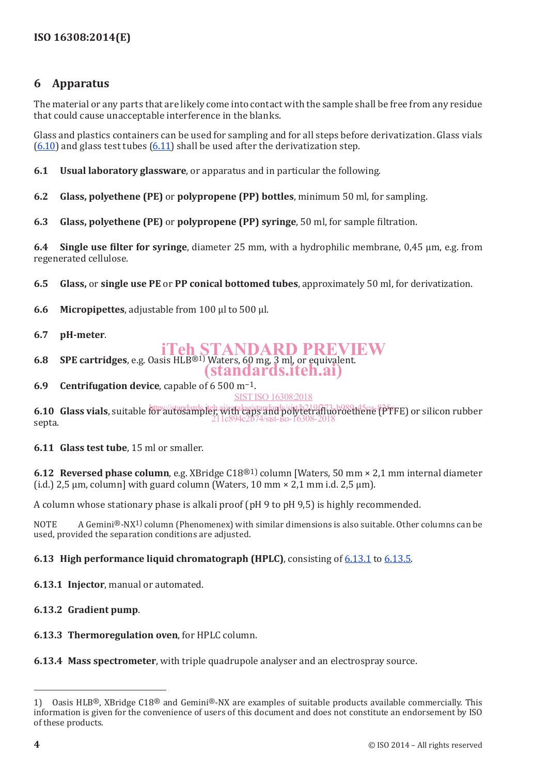#### **6 Apparatus**

The material or any parts that are likely come into contact with the sample shall be free from any residue that could cause unacceptable interference in the blanks.

Glass and plastics containers can be used for sampling and for all steps before derivatization. Glass vials  $(6.10)$  and glass test tubes  $(6.11)$  shall be used after the derivatization step.

- **6.1 Usual laboratory glassware**, or apparatus and in particular the following.
- **6.2 Glass, polyethene (PE)** or **polypropene (PP) bottles**, minimum 50 ml, for sampling.
- **6.3 Glass, polyethene (PE)** or **polypropene (PP) syringe**, 50 ml, for sample filtration.

**6.4 Single use filter for syringe**, diameter 25 mm, with a hydrophilic membrane, 0,45 µm, e.g. from regenerated cellulose.

- **6.5 Glass,** or **single use PE** or **PP conical bottomed tubes**, approximately 50 ml, for derivatization.
- **6.6 Micropipettes**, adjustable from 100 µl to 500 µl.
- **6.7 pH-meter**.

### iTeh STANDARD PREVIEW

- **6.8 SPE cartridges**, e.g. Oasis HLB®1) Waters, 60 mg, 3 ml, or equivalent. (standards.iteh.ai)
- **6.9 Centrifugation device**, capable of 6 500 m−1.

SIST ISO 16308:2018

**6.10 Glass vials**, suitable for autosampler, with caps and polyted and polytetra.<br>and **Glass vials**, suitable for autosampler, with an analysis of factor and or catalogue (PTFE) or silicon rubber septa. 211c894c2b74/sist-iso-16308-2018

**6.11 Glass test tube**, 15 ml or smaller.

**6.12 Reversed phase column**, e.g. XBridge C18®1) column [Waters, 50 mm × 2,1 mm internal diameter (i.d.) 2,5  $\mu$ m, column] with guard column (Waters, 10 mm  $\times$  2,1 mm i.d. 2,5  $\mu$ m).

A column whose stationary phase is alkali proof (pH 9 to pH 9,5) is highly recommended.

NOTE A Gemini®-NX1) column (Phenomenex) with similar dimensions is also suitable. Other columns can be used, provided the separation conditions are adjusted.

#### **6.13 High performance liquid chromatograph (HPLC)**, consisting of 6.13.1 to 6.13.5.

**6.13.1 Injector**, manual or automated.

- **6.13.2 Gradient pump**.
- **6.13.3 Thermoregulation oven**, for HPLC column.

**6.13.4 Mass spectrometer**, with triple quadrupole analyser and an electrospray source.

<sup>1)</sup> Oasis HLB®, XBridge C18® and Gemini®-NX are examples of suitable products available commercially. This information is given for the convenience of users of this document and does not constitute an endorsement by ISO of these products.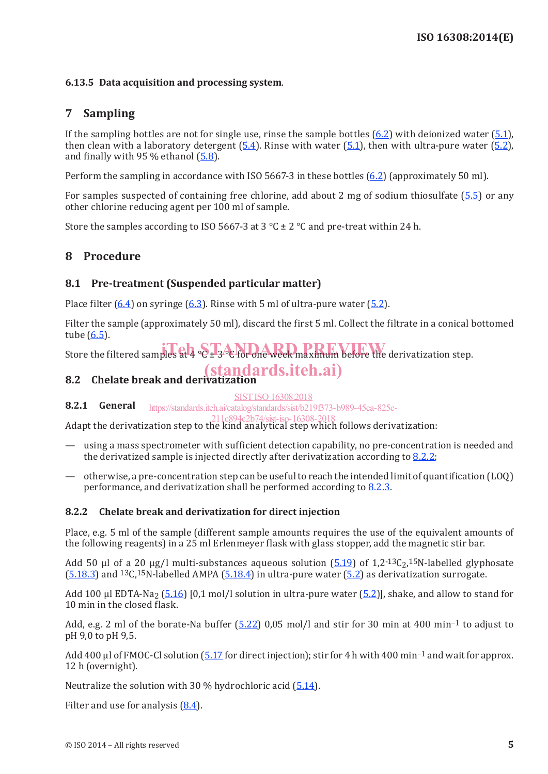#### **6.13.5 Data acquisition and processing system**.

#### **7 Sampling**

If the sampling bottles are not for single use, rinse the sample bottles  $(6.2)$  with deionized water  $(5.1)$ , then clean with a laboratory detergent  $(5.4)$ . Rinse with water  $(5.1)$ , then with ultra-pure water  $(5.2)$ , and finally with 95 % ethanol (5.8).

Perform the sampling in accordance with ISO 5667-3 in these bottles (6.2) (approximately 50 ml).

For samples suspected of containing free chlorine, add about 2 mg of sodium thiosulfate (5.5) or any other chlorine reducing agent per 100 ml of sample.

Store the samples according to ISO 5667-3 at  $3^{\circ}$ C  $\pm$  2  $^{\circ}$ C and pre-treat within 24 h.

#### **8 Procedure**

#### **8.1 Pre-treatment (Suspended particular matter)**

Place filter (6.4) on syringe (6.3). Rinse with 5 ml of ultra-pure water (5.2).

Filter the sample (approximately 50 ml), discard the first 5 ml. Collect the filtrate in a conical bottomed tube (6.5).

Store the filtered samples at 4 °C ± 3 °C for one week maximum before the derivatization step.

## (standards.iteh.ai)

### **8.2 Chelate break and derivatization**

SIST ISO 16308:2018

**8.2.1 General** https://standards.iteh.ai/catalog/standards/sist/b219f373-b989-45ca-825c-

Adapt the derivatization step to the kind analytical step which follows derivatization: 211c894c2b74/sist-iso-16308-2018

- using a mass spectrometer with sufficient detection capability, no pre-concentration is needed and the derivatized sample is injected directly after derivatization according to 8.2.2;
- otherwise, a pre-concentration step can be useful to reach the intended limit of quantification (LOQ) performance, and derivatization shall be performed according to 8.2.3.

#### **8.2.2 Chelate break and derivatization for direct injection**

Place, e.g. 5 ml of the sample (different sample amounts requires the use of the equivalent amounts of the following reagents) in a 25 ml Erlenmeyer flask with glass stopper, add the magnetic stir bar.

Add 50  $\mu$ l of a 20  $\mu$ g/l multi-substances aqueous solution (5.19) of 1,2<sup>-13</sup>C<sub>2</sub>,15N-labelled glyphosate (5.18.3) and 13C,15N-labelled AMPA (5.18.4) in ultra-pure water (5.2) as derivatization surrogate.

Add 100 µl EDTA-Na<sub>2</sub> (5.16) [0,1 mol/l solution in ultra-pure water (5.2)], shake, and allow to stand for 10 min in the closed flask.

Add, e.g. 2 ml of the borate-Na buffer (5.22) 0,05 mol/l and stir for 30 min at 400 min−1 to adjust to pH 9,0 to pH 9,5.

Add 400 µl of FMOC-Cl solution (5.17 for direct injection); stir for 4 h with 400 min−1 and wait for approx. 12 h (overnight).

Neutralize the solution with 30 % hydrochloric acid (5.14).

Filter and use for analysis  $(8.4)$ .